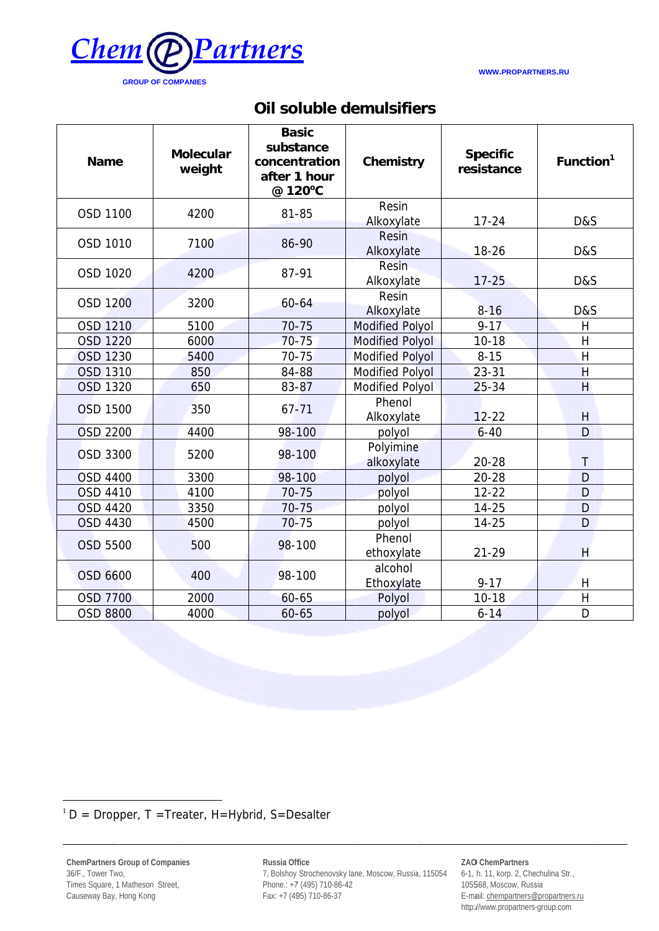

**WWW.PROPARTNERS.RU** 

## Oil soluble demulsifiers

| <b>Name</b>     | <b>Molecular</b><br>weight | <b>Basic</b><br>substance<br>concentration<br>after 1 hour<br>@ 120°C | Chemistry                  | <b>Specific</b><br>resistance | Function <sup>1</sup> |
|-----------------|----------------------------|-----------------------------------------------------------------------|----------------------------|-------------------------------|-----------------------|
| OSD 1100        | 4200                       | 81-85                                                                 | Resin<br>Alkoxylate        | $17 - 24$                     | D&S                   |
| OSD 1010        | 7100                       | 86-90                                                                 | <b>Resin</b><br>Alkoxylate | $18 - 26$                     | D&S                   |
| OSD 1020        | 4200                       | 87-91                                                                 | <b>Resin</b><br>Alkoxylate | $17 - 25$                     | D&S                   |
| <b>OSD 1200</b> | 3200                       | $60 - 64$                                                             | Resin<br>Alkoxylate        | $8 - 16$                      | D&S                   |
| OSD 1210        | 5100                       | $70 - 75$                                                             | <b>Modified Polyol</b>     | $9 - 17$                      | Η                     |
| <b>OSD 1220</b> | 6000                       | $70 - 75$                                                             | <b>Modified Polyol</b>     | $10-18$                       | $\overline{H}$        |
| OSD 1230        | 5400                       | $70 - 75$                                                             | <b>Modified Polyol</b>     | $8 - 15$                      | $\overline{H}$        |
| <b>OSD 1310</b> | 850                        | 84-88                                                                 | Modified Polyol            | $23 - 31$                     | H                     |
| OSD 1320        | 650                        | 83-87                                                                 | <b>Modified Polyol</b>     | $25 - 34$                     | H                     |
| <b>OSD 1500</b> | 350                        | $67 - 71$                                                             | Phenol<br>Alkoxylate       | $12 - 22$                     | H                     |
| <b>OSD 2200</b> | 4400                       | 98-100                                                                | polyol                     | $6 - 40$                      | D                     |
| <b>OSD 3300</b> | 5200                       | 98-100                                                                | Polyimine<br>alkoxylate    | 20-28                         | $\mathsf{T}$          |
| <b>OSD 4400</b> | 3300                       | 98-100                                                                | polyol                     | $20 - 28$                     | D                     |
| <b>OSD 4410</b> | 4100                       | $70 - 75$                                                             | polyol                     | $12 - 22$                     | D                     |
| <b>OSD 4420</b> | 3350                       | $70 - 75$                                                             | polyol                     | $14 - 25$                     | D                     |
| <b>OSD 4430</b> | 4500                       | $70 - 75$                                                             | polyol                     | $14 - 25$                     | D                     |
| <b>OSD 5500</b> | 500                        | 98-100                                                                | Phenol<br>ethoxylate       | $21 - 29$                     | H                     |
| OSD 6600        | 400                        | 98-100                                                                | alcohol<br>Ethoxylate      | $9 - 17$                      | H                     |
| <b>OSD 7700</b> | 2000                       | $60 - 65$                                                             | Polyol                     | $10-18$                       | $\mathsf H$           |
| <b>OSD 8800</b> | 4000                       | $60 - 65$                                                             | polyol                     | $6 - 14$                      | D                     |

 $1 D = Dropper$ , T = Treater, H=Hybrid, S=Desalter

ChemPartners Group of Companies 36/F., Tower Two, Times Square, 1 Matheson Street, Causeway Bay, Hong Kong

Russia Office 7, Bolshoy Strochenovsky lane, Moscow, Russia, 115054 Phone.: +7 (495) 710-86-42 Fax: +7 (495) 710-86-37

ZAO ChemPartners

6-1, h. 11, korp. 2, Chechulina Str., 105568, Moscow, Russia E-mail: chempartners@propartners.ru http://www.propartners-group.com